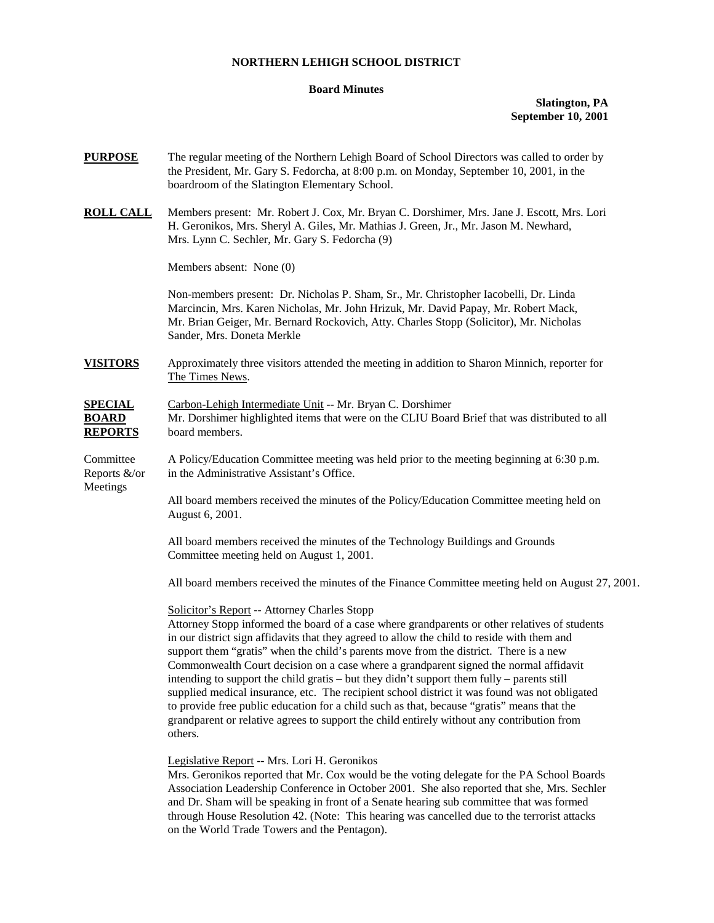#### **NORTHERN LEHIGH SCHOOL DISTRICT**

### **Board Minutes**

# **Slatington, PA September 10, 2001**

| <b>PURPOSE</b>                                   | The regular meeting of the Northern Lehigh Board of School Directors was called to order by<br>the President, Mr. Gary S. Fedorcha, at 8:00 p.m. on Monday, September 10, 2001, in the<br>boardroom of the Slatington Elementary School.                                                                                                                                                                                                                                                                                                                                                                                                                                                                                                                                                                                             |
|--------------------------------------------------|--------------------------------------------------------------------------------------------------------------------------------------------------------------------------------------------------------------------------------------------------------------------------------------------------------------------------------------------------------------------------------------------------------------------------------------------------------------------------------------------------------------------------------------------------------------------------------------------------------------------------------------------------------------------------------------------------------------------------------------------------------------------------------------------------------------------------------------|
| <b>ROLL CALL</b>                                 | Members present: Mr. Robert J. Cox, Mr. Bryan C. Dorshimer, Mrs. Jane J. Escott, Mrs. Lori<br>H. Geronikos, Mrs. Sheryl A. Giles, Mr. Mathias J. Green, Jr., Mr. Jason M. Newhard,<br>Mrs. Lynn C. Sechler, Mr. Gary S. Fedorcha (9)                                                                                                                                                                                                                                                                                                                                                                                                                                                                                                                                                                                                 |
|                                                  | Members absent: None (0)                                                                                                                                                                                                                                                                                                                                                                                                                                                                                                                                                                                                                                                                                                                                                                                                             |
|                                                  | Non-members present: Dr. Nicholas P. Sham, Sr., Mr. Christopher Iacobelli, Dr. Linda<br>Marcincin, Mrs. Karen Nicholas, Mr. John Hrizuk, Mr. David Papay, Mr. Robert Mack,<br>Mr. Brian Geiger, Mr. Bernard Rockovich, Atty. Charles Stopp (Solicitor), Mr. Nicholas<br>Sander, Mrs. Doneta Merkle                                                                                                                                                                                                                                                                                                                                                                                                                                                                                                                                   |
| <b>VISITORS</b>                                  | Approximately three visitors attended the meeting in addition to Sharon Minnich, reporter for<br>The Times News.                                                                                                                                                                                                                                                                                                                                                                                                                                                                                                                                                                                                                                                                                                                     |
| <b>SPECIAL</b><br><b>BOARD</b><br><b>REPORTS</b> | Carbon-Lehigh Intermediate Unit -- Mr. Bryan C. Dorshimer<br>Mr. Dorshimer highlighted items that were on the CLIU Board Brief that was distributed to all<br>board members.                                                                                                                                                                                                                                                                                                                                                                                                                                                                                                                                                                                                                                                         |
| Committee<br>Reports &/or<br>Meetings            | A Policy/Education Committee meeting was held prior to the meeting beginning at 6:30 p.m.<br>in the Administrative Assistant's Office.                                                                                                                                                                                                                                                                                                                                                                                                                                                                                                                                                                                                                                                                                               |
|                                                  | All board members received the minutes of the Policy/Education Committee meeting held on<br>August 6, 2001.                                                                                                                                                                                                                                                                                                                                                                                                                                                                                                                                                                                                                                                                                                                          |
|                                                  | All board members received the minutes of the Technology Buildings and Grounds<br>Committee meeting held on August 1, 2001.                                                                                                                                                                                                                                                                                                                                                                                                                                                                                                                                                                                                                                                                                                          |
|                                                  | All board members received the minutes of the Finance Committee meeting held on August 27, 2001.                                                                                                                                                                                                                                                                                                                                                                                                                                                                                                                                                                                                                                                                                                                                     |
|                                                  | Solicitor's Report -- Attorney Charles Stopp<br>Attorney Stopp informed the board of a case where grandparents or other relatives of students<br>in our district sign affidavits that they agreed to allow the child to reside with them and<br>support them "gratis" when the child's parents move from the district. There is a new<br>Commonwealth Court decision on a case where a grandparent signed the normal affidavit<br>intending to support the child gratis – but they didn't support them fully – parents still<br>supplied medical insurance, etc. The recipient school district it was found was not obligated<br>to provide free public education for a child such as that, because "gratis" means that the<br>grandparent or relative agrees to support the child entirely without any contribution from<br>others. |
|                                                  | Legislative Report -- Mrs. Lori H. Geronikos<br>Mrs. Geronikos reported that Mr. Cox would be the voting delegate for the PA School Boards<br>Association Leadership Conference in October 2001. She also reported that she, Mrs. Sechler                                                                                                                                                                                                                                                                                                                                                                                                                                                                                                                                                                                            |

Association Leadership Conference in October 2001. She also reported that she, Mrs. Sechler and Dr. Sham will be speaking in front of a Senate hearing sub committee that was formed through House Resolution 42. (Note: This hearing was cancelled due to the terrorist attacks on the World Trade Towers and the Pentagon).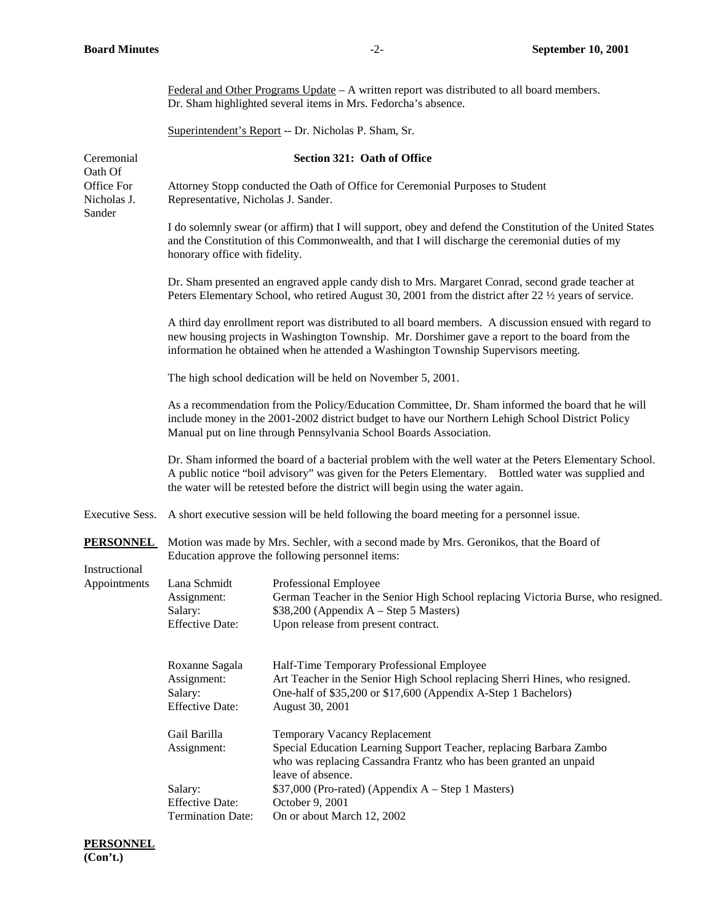| Federal and Other Programs Update $- A$ written report was distributed to all board members. |
|----------------------------------------------------------------------------------------------|
| Dr. Sham highlighted several items in Mrs. Fedorcha's absence.                               |

Superintendent's Report -- Dr. Nicholas P. Sham, Sr.

| Ceremonial<br>Oath Of<br>Office For<br>Nicholas J.<br>Sander |                                                                                                                                                                                                                                                                                                    | Section 321: Oath of Office                                                                                                                                                                                          |  |
|--------------------------------------------------------------|----------------------------------------------------------------------------------------------------------------------------------------------------------------------------------------------------------------------------------------------------------------------------------------------------|----------------------------------------------------------------------------------------------------------------------------------------------------------------------------------------------------------------------|--|
|                                                              | Attorney Stopp conducted the Oath of Office for Ceremonial Purposes to Student<br>Representative, Nicholas J. Sander.                                                                                                                                                                              |                                                                                                                                                                                                                      |  |
|                                                              | I do solemnly swear (or affirm) that I will support, obey and defend the Constitution of the United States<br>and the Constitution of this Commonwealth, and that I will discharge the ceremonial duties of my<br>honorary office with fidelity.                                                   |                                                                                                                                                                                                                      |  |
|                                                              |                                                                                                                                                                                                                                                                                                    | Dr. Sham presented an engraved apple candy dish to Mrs. Margaret Conrad, second grade teacher at<br>Peters Elementary School, who retired August 30, 2001 from the district after 22 $\frac{1}{2}$ years of service. |  |
|                                                              | A third day enrollment report was distributed to all board members. A discussion ensued with regard to<br>new housing projects in Washington Township. Mr. Dorshimer gave a report to the board from the<br>information he obtained when he attended a Washington Township Supervisors meeting.    |                                                                                                                                                                                                                      |  |
|                                                              | The high school dedication will be held on November 5, 2001.                                                                                                                                                                                                                                       |                                                                                                                                                                                                                      |  |
|                                                              | As a recommendation from the Policy/Education Committee, Dr. Sham informed the board that he will<br>include money in the 2001-2002 district budget to have our Northern Lehigh School District Policy<br>Manual put on line through Pennsylvania School Boards Association.                       |                                                                                                                                                                                                                      |  |
|                                                              | Dr. Sham informed the board of a bacterial problem with the well water at the Peters Elementary School.<br>A public notice "boil advisory" was given for the Peters Elementary. Bottled water was supplied and<br>the water will be retested before the district will begin using the water again. |                                                                                                                                                                                                                      |  |
| <b>Executive Sess.</b>                                       |                                                                                                                                                                                                                                                                                                    | A short executive session will be held following the board meeting for a personnel issue.                                                                                                                            |  |
| <b>PERSONNEL</b>                                             | Motion was made by Mrs. Sechler, with a second made by Mrs. Geronikos, that the Board of<br>Education approve the following personnel items:                                                                                                                                                       |                                                                                                                                                                                                                      |  |
| Instructional<br>Appointments                                | Lana Schmidt<br>Assignment:<br>Salary:<br><b>Effective Date:</b>                                                                                                                                                                                                                                   | Professional Employee<br>German Teacher in the Senior High School replacing Victoria Burse, who resigned.<br>\$38,200 (Appendix A – Step 5 Masters)<br>Upon release from present contract.                           |  |
|                                                              | Roxanne Sagala<br>Assignment:<br>Salary:<br><b>Effective Date:</b>                                                                                                                                                                                                                                 | Half-Time Temporary Professional Employee<br>Art Teacher in the Senior High School replacing Sherri Hines, who resigned.<br>One-half of \$35,200 or \$17,600 (Appendix A-Step 1 Bachelors)<br>August 30, 2001        |  |
|                                                              | Gail Barilla<br>Assignment:                                                                                                                                                                                                                                                                        | <b>Temporary Vacancy Replacement</b><br>Special Education Learning Support Teacher, replacing Barbara Zambo<br>who was replacing Cassandra Frantz who has been granted an unpaid<br>leave of absence.                |  |
|                                                              | Salary:<br><b>Effective Date:</b><br><b>Termination Date:</b>                                                                                                                                                                                                                                      | \$37,000 (Pro-rated) (Appendix A - Step 1 Masters)<br>October 9, 2001<br>On or about March 12, 2002                                                                                                                  |  |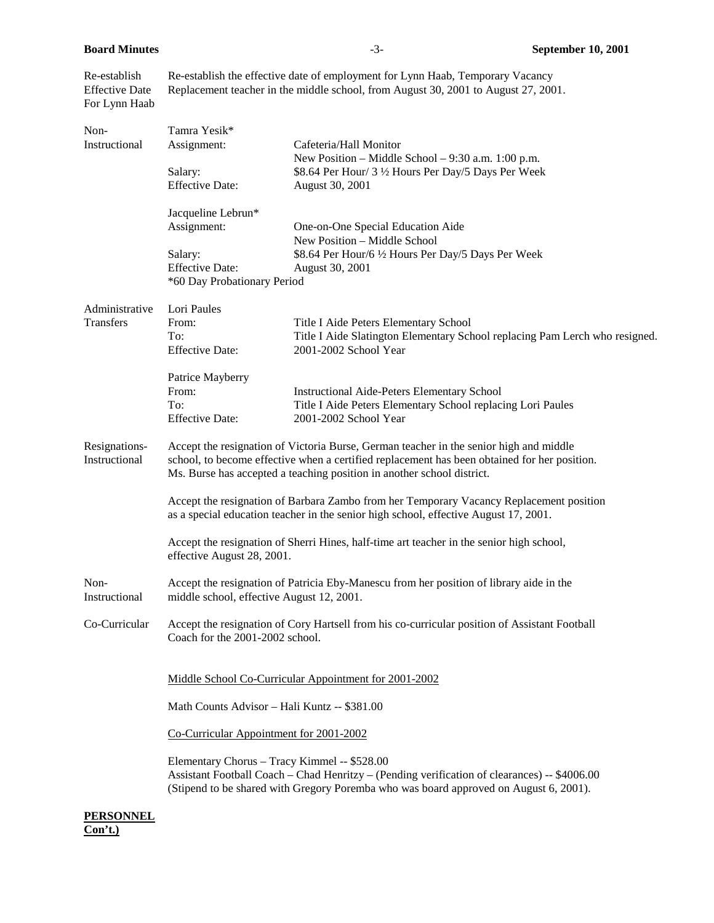Re-establish Re-establish the effective date of employment for Lynn Haab, Temporary Vacancy Effective Date Replacement teacher in the middle school, from August 30, 2001 to August 27, 2001. For Lynn Haab

| Non-                  | Tamra Yesik*                                                                                                                                                                                                                          |                                                                                                      |  |  |
|-----------------------|---------------------------------------------------------------------------------------------------------------------------------------------------------------------------------------------------------------------------------------|------------------------------------------------------------------------------------------------------|--|--|
| Instructional         | Assignment:                                                                                                                                                                                                                           | Cafeteria/Hall Monitor<br>New Position – Middle School – $9:30$ a.m. 1:00 p.m.                       |  |  |
|                       | Salary:                                                                                                                                                                                                                               | \$8.64 Per Hour/ 3 1/2 Hours Per Day/5 Days Per Week                                                 |  |  |
|                       | <b>Effective Date:</b>                                                                                                                                                                                                                | August 30, 2001                                                                                      |  |  |
|                       | Jacqueline Lebrun*                                                                                                                                                                                                                    |                                                                                                      |  |  |
|                       | Assignment:                                                                                                                                                                                                                           | One-on-One Special Education Aide<br>New Position - Middle School                                    |  |  |
|                       | Salary:                                                                                                                                                                                                                               | \$8.64 Per Hour/6 1/2 Hours Per Day/5 Days Per Week                                                  |  |  |
|                       | <b>Effective Date:</b>                                                                                                                                                                                                                | August 30, 2001                                                                                      |  |  |
|                       |                                                                                                                                                                                                                                       | *60 Day Probationary Period                                                                          |  |  |
| Administrative        | Lori Paules                                                                                                                                                                                                                           |                                                                                                      |  |  |
| <b>Transfers</b>      | From:                                                                                                                                                                                                                                 | Title I Aide Peters Elementary School                                                                |  |  |
|                       | To:<br><b>Effective Date:</b>                                                                                                                                                                                                         | Title I Aide Slatington Elementary School replacing Pam Lerch who resigned.<br>2001-2002 School Year |  |  |
|                       | Patrice Mayberry                                                                                                                                                                                                                      |                                                                                                      |  |  |
|                       | From:                                                                                                                                                                                                                                 | <b>Instructional Aide-Peters Elementary School</b>                                                   |  |  |
|                       | To:                                                                                                                                                                                                                                   | Title I Aide Peters Elementary School replacing Lori Paules                                          |  |  |
|                       | <b>Effective Date:</b>                                                                                                                                                                                                                | 2001-2002 School Year                                                                                |  |  |
| Resignations-         |                                                                                                                                                                                                                                       | Accept the resignation of Victoria Burse, German teacher in the senior high and middle               |  |  |
| Instructional         | school, to become effective when a certified replacement has been obtained for her position.<br>Ms. Burse has accepted a teaching position in another school district.                                                                |                                                                                                      |  |  |
|                       | Accept the resignation of Barbara Zambo from her Temporary Vacancy Replacement position<br>as a special education teacher in the senior high school, effective August 17, 2001.                                                       |                                                                                                      |  |  |
|                       | effective August 28, 2001.                                                                                                                                                                                                            | Accept the resignation of Sherri Hines, half-time art teacher in the senior high school,             |  |  |
| Non-<br>Instructional | Accept the resignation of Patricia Eby-Manescu from her position of library aide in the<br>middle school, effective August 12, 2001.                                                                                                  |                                                                                                      |  |  |
| Co-Curricular         | Accept the resignation of Cory Hartsell from his co-curricular position of Assistant Football<br>Coach for the 2001-2002 school.                                                                                                      |                                                                                                      |  |  |
|                       |                                                                                                                                                                                                                                       | Middle School Co-Curricular Appointment for 2001-2002                                                |  |  |
|                       | Math Counts Advisor - Hali Kuntz -- \$381.00                                                                                                                                                                                          |                                                                                                      |  |  |
|                       | Co-Curricular Appointment for 2001-2002                                                                                                                                                                                               |                                                                                                      |  |  |
|                       | Elementary Chorus - Tracy Kimmel -- \$528.00<br>Assistant Football Coach – Chad Henritzy – (Pending verification of clearances) -- \$4006.00<br>(Stipend to be shared with Gregory Poremba who was board approved on August 6, 2001). |                                                                                                      |  |  |
| <b>PERSONNEL</b>      |                                                                                                                                                                                                                                       |                                                                                                      |  |  |

**Con't.)**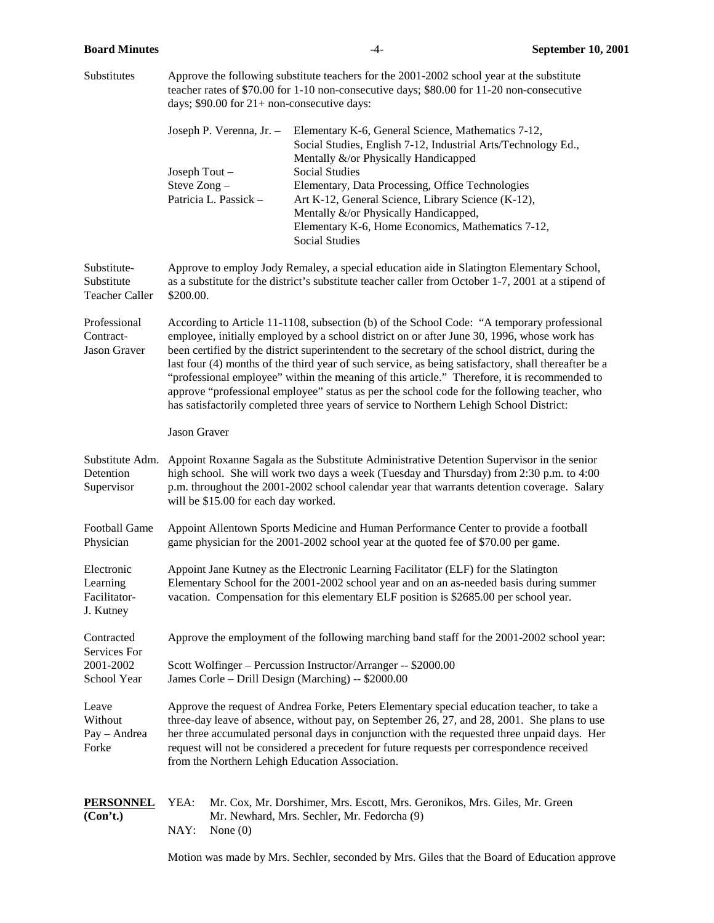| Substitutes                                         | Approve the following substitute teachers for the 2001-2002 school year at the substitute<br>teacher rates of \$70.00 for 1-10 non-consecutive days; \$80.00 for 11-20 non-consecutive<br>days; $$90.00$ for $21+$ non-consecutive days:                                                                                                                                                                                                     |                                                                                                                                                                                                                                                                                                                                                                                                                                                                                                                                                                                                                                                                                                   |  |
|-----------------------------------------------------|----------------------------------------------------------------------------------------------------------------------------------------------------------------------------------------------------------------------------------------------------------------------------------------------------------------------------------------------------------------------------------------------------------------------------------------------|---------------------------------------------------------------------------------------------------------------------------------------------------------------------------------------------------------------------------------------------------------------------------------------------------------------------------------------------------------------------------------------------------------------------------------------------------------------------------------------------------------------------------------------------------------------------------------------------------------------------------------------------------------------------------------------------------|--|
|                                                     | Joseph P. Verenna, Jr. -<br>Joseph Tout -<br>Steve Zong-<br>Patricia L. Passick -                                                                                                                                                                                                                                                                                                                                                            | Elementary K-6, General Science, Mathematics 7-12,<br>Social Studies, English 7-12, Industrial Arts/Technology Ed.,<br>Mentally &/or Physically Handicapped<br><b>Social Studies</b><br>Elementary, Data Processing, Office Technologies<br>Art K-12, General Science, Library Science (K-12),<br>Mentally &/or Physically Handicapped,<br>Elementary K-6, Home Economics, Mathematics 7-12,<br><b>Social Studies</b>                                                                                                                                                                                                                                                                             |  |
| Substitute-<br>Substitute<br><b>Teacher Caller</b>  | \$200.00.                                                                                                                                                                                                                                                                                                                                                                                                                                    | Approve to employ Jody Remaley, a special education aide in Slatington Elementary School,<br>as a substitute for the district's substitute teacher caller from October 1-7, 2001 at a stipend of                                                                                                                                                                                                                                                                                                                                                                                                                                                                                                  |  |
| Professional<br>Contract-<br><b>Jason Graver</b>    |                                                                                                                                                                                                                                                                                                                                                                                                                                              | According to Article 11-1108, subsection (b) of the School Code: "A temporary professional<br>employee, initially employed by a school district on or after June 30, 1996, whose work has<br>been certified by the district superintendent to the secretary of the school district, during the<br>last four (4) months of the third year of such service, as being satisfactory, shall thereafter be a<br>"professional employee" within the meaning of this article." Therefore, it is recommended to<br>approve "professional employee" status as per the school code for the following teacher, who<br>has satisfactorily completed three years of service to Northern Lehigh School District: |  |
|                                                     | Jason Graver                                                                                                                                                                                                                                                                                                                                                                                                                                 |                                                                                                                                                                                                                                                                                                                                                                                                                                                                                                                                                                                                                                                                                                   |  |
| Substitute Adm.<br>Detention<br>Supervisor          | will be \$15.00 for each day worked.                                                                                                                                                                                                                                                                                                                                                                                                         | Appoint Roxanne Sagala as the Substitute Administrative Detention Supervisor in the senior<br>high school. She will work two days a week (Tuesday and Thursday) from 2:30 p.m. to 4:00<br>p.m. throughout the 2001-2002 school calendar year that warrants detention coverage. Salary                                                                                                                                                                                                                                                                                                                                                                                                             |  |
| <b>Football Game</b><br>Physician                   |                                                                                                                                                                                                                                                                                                                                                                                                                                              | Appoint Allentown Sports Medicine and Human Performance Center to provide a football<br>game physician for the 2001-2002 school year at the quoted fee of \$70.00 per game.                                                                                                                                                                                                                                                                                                                                                                                                                                                                                                                       |  |
| Electronic<br>Learning<br>Facilitator-<br>J. Kutney |                                                                                                                                                                                                                                                                                                                                                                                                                                              | Appoint Jane Kutney as the Electronic Learning Facilitator (ELF) for the Slatington<br>Elementary School for the 2001-2002 school year and on an as-needed basis during summer<br>vacation. Compensation for this elementary ELF position is \$2685.00 per school year.                                                                                                                                                                                                                                                                                                                                                                                                                           |  |
| Contracted                                          | Approve the employment of the following marching band staff for the 2001-2002 school year:                                                                                                                                                                                                                                                                                                                                                   |                                                                                                                                                                                                                                                                                                                                                                                                                                                                                                                                                                                                                                                                                                   |  |
| Services For<br>2001-2002<br>School Year            | Scott Wolfinger - Percussion Instructor/Arranger -- \$2000.00<br>James Corle - Drill Design (Marching) -- \$2000.00                                                                                                                                                                                                                                                                                                                          |                                                                                                                                                                                                                                                                                                                                                                                                                                                                                                                                                                                                                                                                                                   |  |
| Leave<br>Without<br>Pay - Andrea<br>Forke           | Approve the request of Andrea Forke, Peters Elementary special education teacher, to take a<br>three-day leave of absence, without pay, on September 26, 27, and 28, 2001. She plans to use<br>her three accumulated personal days in conjunction with the requested three unpaid days. Her<br>request will not be considered a precedent for future requests per correspondence received<br>from the Northern Lehigh Education Association. |                                                                                                                                                                                                                                                                                                                                                                                                                                                                                                                                                                                                                                                                                                   |  |
| <b>PERSONNEL</b><br>(Con't.)                        | YEA:<br>NAY:<br>None $(0)$                                                                                                                                                                                                                                                                                                                                                                                                                   | Mr. Cox, Mr. Dorshimer, Mrs. Escott, Mrs. Geronikos, Mrs. Giles, Mr. Green<br>Mr. Newhard, Mrs. Sechler, Mr. Fedorcha (9)                                                                                                                                                                                                                                                                                                                                                                                                                                                                                                                                                                         |  |
|                                                     |                                                                                                                                                                                                                                                                                                                                                                                                                                              | Motion was made by Mrs. Sechler, seconded by Mrs. Giles that the Board of Education approve                                                                                                                                                                                                                                                                                                                                                                                                                                                                                                                                                                                                       |  |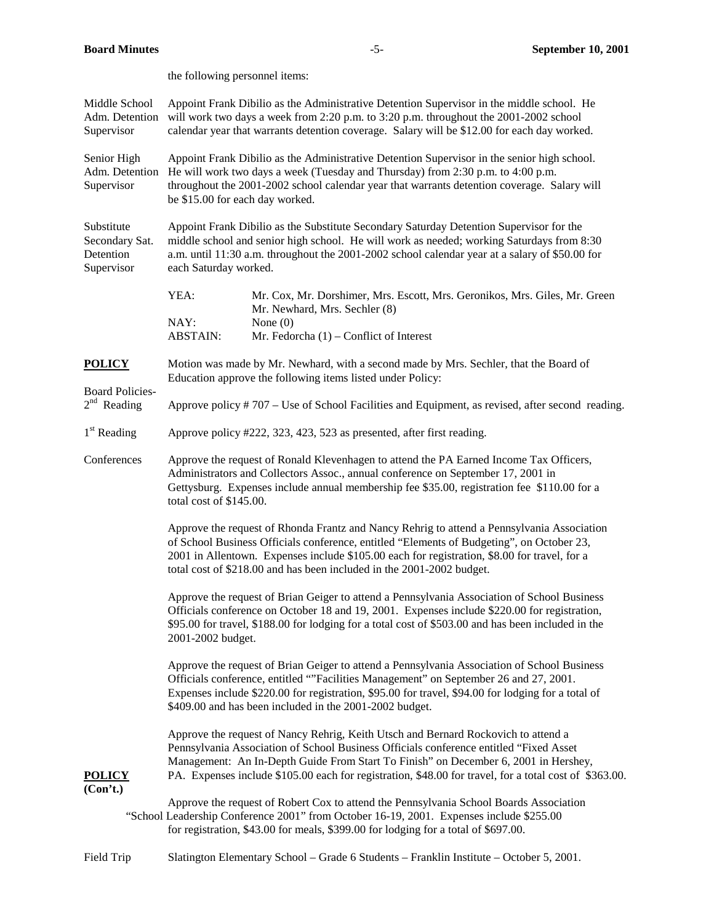|                                                         | the following personnel items:                                                                                                                                                                                                                                                                                   |                                                                                                                                                                                                                                                                                                                                                                               |  |
|---------------------------------------------------------|------------------------------------------------------------------------------------------------------------------------------------------------------------------------------------------------------------------------------------------------------------------------------------------------------------------|-------------------------------------------------------------------------------------------------------------------------------------------------------------------------------------------------------------------------------------------------------------------------------------------------------------------------------------------------------------------------------|--|
| Middle School<br>Adm. Detention<br>Supervisor           | Appoint Frank Dibilio as the Administrative Detention Supervisor in the middle school. He<br>will work two days a week from 2:20 p.m. to 3:20 p.m. throughout the 2001-2002 school<br>calendar year that warrants detention coverage. Salary will be \$12.00 for each day worked.                                |                                                                                                                                                                                                                                                                                                                                                                               |  |
| Senior High<br>Adm. Detention<br>Supervisor             | Appoint Frank Dibilio as the Administrative Detention Supervisor in the senior high school.<br>He will work two days a week (Tuesday and Thursday) from 2:30 p.m. to 4:00 p.m.<br>throughout the 2001-2002 school calendar year that warrants detention coverage. Salary will<br>be \$15.00 for each day worked. |                                                                                                                                                                                                                                                                                                                                                                               |  |
| Substitute<br>Secondary Sat.<br>Detention<br>Supervisor | Appoint Frank Dibilio as the Substitute Secondary Saturday Detention Supervisor for the<br>middle school and senior high school. He will work as needed; working Saturdays from 8:30<br>a.m. until 11:30 a.m. throughout the 2001-2002 school calendar year at a salary of \$50.00 for<br>each Saturday worked.  |                                                                                                                                                                                                                                                                                                                                                                               |  |
|                                                         | YEA:<br>NAY:<br><b>ABSTAIN:</b>                                                                                                                                                                                                                                                                                  | Mr. Cox, Mr. Dorshimer, Mrs. Escott, Mrs. Geronikos, Mrs. Giles, Mr. Green<br>Mr. Newhard, Mrs. Sechler (8)<br>None $(0)$<br>Mr. Fedorcha $(1)$ – Conflict of Interest                                                                                                                                                                                                        |  |
| <b>POLICY</b><br><b>Board Policies-</b>                 | Motion was made by Mr. Newhard, with a second made by Mrs. Sechler, that the Board of<br>Education approve the following items listed under Policy:                                                                                                                                                              |                                                                                                                                                                                                                                                                                                                                                                               |  |
| $2nd$ Reading                                           |                                                                                                                                                                                                                                                                                                                  | Approve policy #707 – Use of School Facilities and Equipment, as revised, after second reading.                                                                                                                                                                                                                                                                               |  |
| $1st$ Reading                                           |                                                                                                                                                                                                                                                                                                                  | Approve policy #222, 323, 423, 523 as presented, after first reading.                                                                                                                                                                                                                                                                                                         |  |
| Conferences                                             | Approve the request of Ronald Klevenhagen to attend the PA Earned Income Tax Officers,<br>Administrators and Collectors Assoc., annual conference on September 17, 2001 in<br>Gettysburg. Expenses include annual membership fee \$35.00, registration fee \$110.00 for a<br>total cost of \$145.00.             |                                                                                                                                                                                                                                                                                                                                                                               |  |
|                                                         |                                                                                                                                                                                                                                                                                                                  | Approve the request of Rhonda Frantz and Nancy Rehrig to attend a Pennsylvania Association<br>of School Business Officials conference, entitled "Elements of Budgeting", on October 23,<br>2001 in Allentown. Expenses include \$105.00 each for registration, \$8.00 for travel, for a<br>total cost of \$218.00 and has been included in the 2001-2002 budget.              |  |
|                                                         | 2001-2002 budget.                                                                                                                                                                                                                                                                                                | Approve the request of Brian Geiger to attend a Pennsylvania Association of School Business<br>Officials conference on October 18 and 19, 2001. Expenses include \$220.00 for registration,<br>\$95.00 for travel, \$188.00 for lodging for a total cost of \$503.00 and has been included in the                                                                             |  |
|                                                         |                                                                                                                                                                                                                                                                                                                  | Approve the request of Brian Geiger to attend a Pennsylvania Association of School Business<br>Officials conference, entitled ""Facilities Management" on September 26 and 27, 2001.<br>Expenses include \$220.00 for registration, \$95.00 for travel, \$94.00 for lodging for a total of<br>\$409.00 and has been included in the 2001-2002 budget.                         |  |
| <b>POLICY</b><br>(Con't.)                               |                                                                                                                                                                                                                                                                                                                  | Approve the request of Nancy Rehrig, Keith Utsch and Bernard Rockovich to attend a<br>Pennsylvania Association of School Business Officials conference entitled "Fixed Asset<br>Management: An In-Depth Guide From Start To Finish" on December 6, 2001 in Hershey,<br>PA. Expenses include \$105.00 each for registration, \$48.00 for travel, for a total cost of \$363.00. |  |
|                                                         |                                                                                                                                                                                                                                                                                                                  | Approve the request of Robert Cox to attend the Pennsylvania School Boards Association<br>"School Leadership Conference 2001" from October 16-19, 2001. Expenses include \$255.00<br>for registration, \$43.00 for meals, \$399.00 for lodging for a total of \$697.00.                                                                                                       |  |
| Field Trip                                              |                                                                                                                                                                                                                                                                                                                  | Slatington Elementary School - Grade 6 Students - Franklin Institute - October 5, 2001.                                                                                                                                                                                                                                                                                       |  |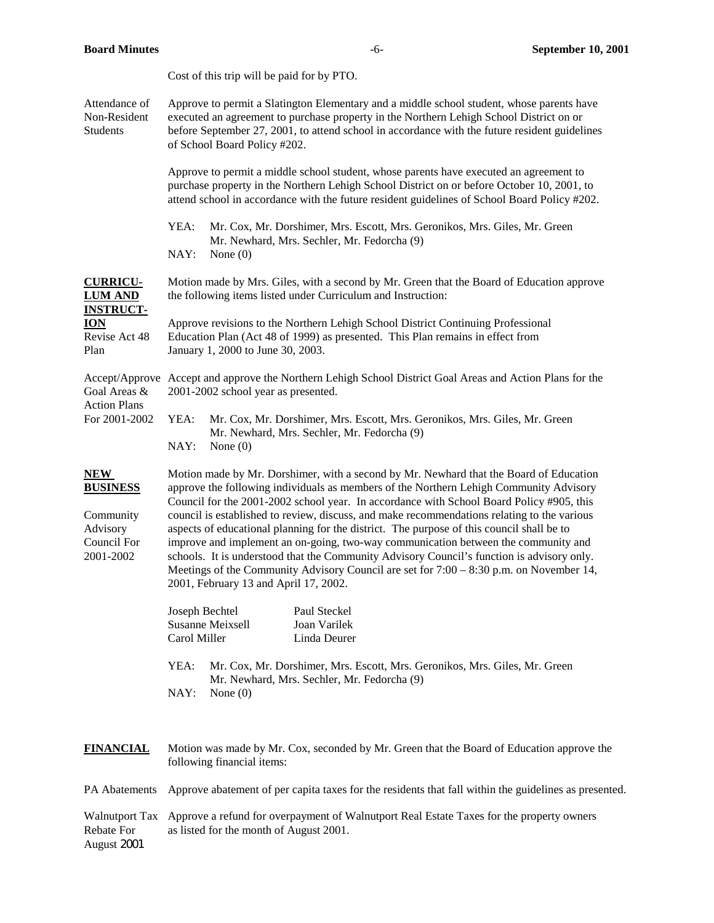|                                                                                              | Cost of this trip will be paid for by PTO.                                                                                                                                                                                                                                                                                                                                                                                                                                                                                                                                                                                                                                                                                                                                                         |  |  |
|----------------------------------------------------------------------------------------------|----------------------------------------------------------------------------------------------------------------------------------------------------------------------------------------------------------------------------------------------------------------------------------------------------------------------------------------------------------------------------------------------------------------------------------------------------------------------------------------------------------------------------------------------------------------------------------------------------------------------------------------------------------------------------------------------------------------------------------------------------------------------------------------------------|--|--|
| Attendance of<br>Non-Resident<br><b>Students</b>                                             | Approve to permit a Slatington Elementary and a middle school student, whose parents have<br>executed an agreement to purchase property in the Northern Lehigh School District on or<br>before September 27, 2001, to attend school in accordance with the future resident guidelines<br>of School Board Policy #202.                                                                                                                                                                                                                                                                                                                                                                                                                                                                              |  |  |
|                                                                                              | Approve to permit a middle school student, whose parents have executed an agreement to<br>purchase property in the Northern Lehigh School District on or before October 10, 2001, to<br>attend school in accordance with the future resident guidelines of School Board Policy #202.                                                                                                                                                                                                                                                                                                                                                                                                                                                                                                               |  |  |
|                                                                                              | YEA:<br>Mr. Cox, Mr. Dorshimer, Mrs. Escott, Mrs. Geronikos, Mrs. Giles, Mr. Green<br>Mr. Newhard, Mrs. Sechler, Mr. Fedorcha (9)<br>NAY:<br>None $(0)$                                                                                                                                                                                                                                                                                                                                                                                                                                                                                                                                                                                                                                            |  |  |
| <b>CURRICU-</b><br><b>LUM AND</b><br><b>INSTRUCT-</b><br><b>ION</b><br>Revise Act 48<br>Plan | Motion made by Mrs. Giles, with a second by Mr. Green that the Board of Education approve<br>the following items listed under Curriculum and Instruction:                                                                                                                                                                                                                                                                                                                                                                                                                                                                                                                                                                                                                                          |  |  |
|                                                                                              | Approve revisions to the Northern Lehigh School District Continuing Professional<br>Education Plan (Act 48 of 1999) as presented. This Plan remains in effect from<br>January 1, 2000 to June 30, 2003.                                                                                                                                                                                                                                                                                                                                                                                                                                                                                                                                                                                            |  |  |
| Goal Areas &<br><b>Action Plans</b><br>For 2001-2002                                         | Accept/Approve Accept and approve the Northern Lehigh School District Goal Areas and Action Plans for the<br>2001-2002 school year as presented.                                                                                                                                                                                                                                                                                                                                                                                                                                                                                                                                                                                                                                                   |  |  |
|                                                                                              | YEA:<br>Mr. Cox, Mr. Dorshimer, Mrs. Escott, Mrs. Geronikos, Mrs. Giles, Mr. Green<br>Mr. Newhard, Mrs. Sechler, Mr. Fedorcha (9)<br>NAY:<br>None $(0)$                                                                                                                                                                                                                                                                                                                                                                                                                                                                                                                                                                                                                                            |  |  |
| NEW<br><b>BUSINESS</b><br>Community<br>Advisory<br>Council For<br>2001-2002                  | Motion made by Mr. Dorshimer, with a second by Mr. Newhard that the Board of Education<br>approve the following individuals as members of the Northern Lehigh Community Advisory<br>Council for the 2001-2002 school year. In accordance with School Board Policy #905, this<br>council is established to review, discuss, and make recommendations relating to the various<br>aspects of educational planning for the district. The purpose of this council shall be to<br>improve and implement an on-going, two-way communication between the community and<br>schools. It is understood that the Community Advisory Council's function is advisory only.<br>Meetings of the Community Advisory Council are set for $7:00 - 8:30$ p.m. on November 14,<br>2001, February 13 and April 17, 2002. |  |  |
|                                                                                              | Joseph Bechtel<br>Paul Steckel<br><b>Susanne Meixsell</b><br>Joan Varilek<br>Carol Miller<br>Linda Deurer                                                                                                                                                                                                                                                                                                                                                                                                                                                                                                                                                                                                                                                                                          |  |  |
|                                                                                              | YEA:<br>Mr. Cox, Mr. Dorshimer, Mrs. Escott, Mrs. Geronikos, Mrs. Giles, Mr. Green<br>Mr. Newhard, Mrs. Sechler, Mr. Fedorcha (9)<br>NAY:<br>None $(0)$                                                                                                                                                                                                                                                                                                                                                                                                                                                                                                                                                                                                                                            |  |  |
| <b>FINANCIAL</b>                                                                             | Motion was made by Mr. Cox, seconded by Mr. Green that the Board of Education approve the<br>following financial items:                                                                                                                                                                                                                                                                                                                                                                                                                                                                                                                                                                                                                                                                            |  |  |
| PA Abatements                                                                                | Approve abatement of per capita taxes for the residents that fall within the guidelines as presented.                                                                                                                                                                                                                                                                                                                                                                                                                                                                                                                                                                                                                                                                                              |  |  |
| <b>Walnutport Tax</b><br>Rebate For<br>August 2001                                           | Approve a refund for overpayment of Walnutport Real Estate Taxes for the property owners<br>as listed for the month of August 2001.                                                                                                                                                                                                                                                                                                                                                                                                                                                                                                                                                                                                                                                                |  |  |

**Board Minutes** -6- **September 10, 2001**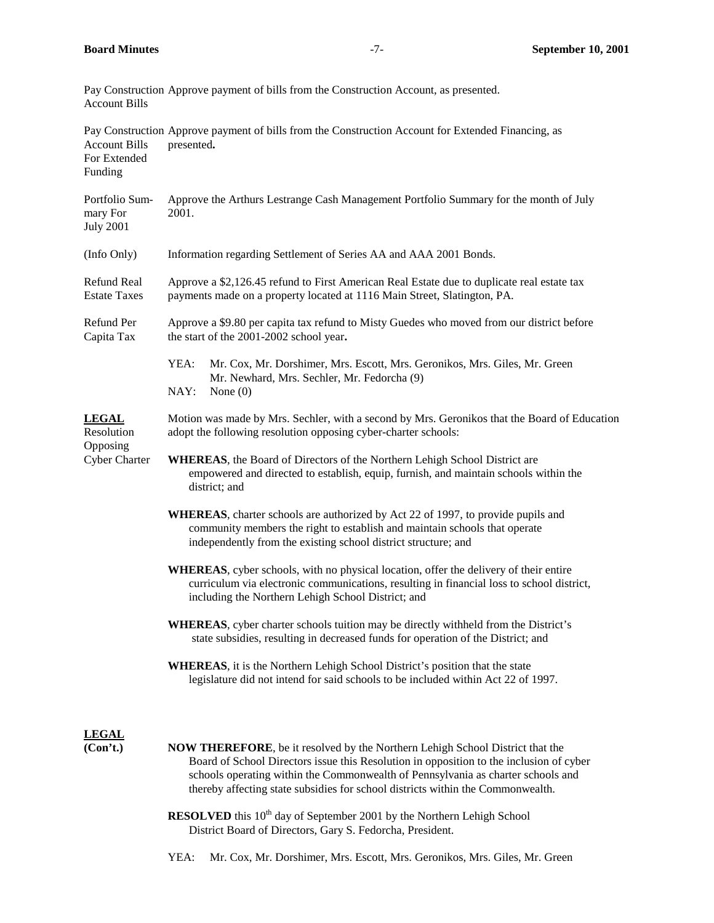| <b>Account Bills</b>                                           | Pay Construction Approve payment of bills from the Construction Account, as presented.                                                                                                                                                                                                                                                                  |
|----------------------------------------------------------------|---------------------------------------------------------------------------------------------------------------------------------------------------------------------------------------------------------------------------------------------------------------------------------------------------------------------------------------------------------|
| <b>Account Bills</b><br>For Extended<br>Funding                | Pay Construction Approve payment of bills from the Construction Account for Extended Financing, as<br>presented.                                                                                                                                                                                                                                        |
| Portfolio Sum-<br>mary For<br><b>July 2001</b>                 | Approve the Arthurs Lestrange Cash Management Portfolio Summary for the month of July<br>2001.                                                                                                                                                                                                                                                          |
| (Info Only)                                                    | Information regarding Settlement of Series AA and AAA 2001 Bonds.                                                                                                                                                                                                                                                                                       |
| Refund Real<br><b>Estate Taxes</b>                             | Approve a \$2,126.45 refund to First American Real Estate due to duplicate real estate tax<br>payments made on a property located at 1116 Main Street, Slatington, PA.                                                                                                                                                                                  |
| Refund Per<br>Capita Tax                                       | Approve a \$9.80 per capita tax refund to Misty Guedes who moved from our district before<br>the start of the 2001-2002 school year.                                                                                                                                                                                                                    |
|                                                                | YEA:<br>Mr. Cox, Mr. Dorshimer, Mrs. Escott, Mrs. Geronikos, Mrs. Giles, Mr. Green<br>Mr. Newhard, Mrs. Sechler, Mr. Fedorcha (9)<br>NAY:<br>None $(0)$                                                                                                                                                                                                 |
| <b>LEGAL</b><br>Resolution<br>Opposing<br><b>Cyber Charter</b> | Motion was made by Mrs. Sechler, with a second by Mrs. Geronikos that the Board of Education<br>adopt the following resolution opposing cyber-charter schools:                                                                                                                                                                                          |
|                                                                | <b>WHEREAS</b> , the Board of Directors of the Northern Lehigh School District are<br>empowered and directed to establish, equip, furnish, and maintain schools within the<br>district; and                                                                                                                                                             |
|                                                                | WHEREAS, charter schools are authorized by Act 22 of 1997, to provide pupils and<br>community members the right to establish and maintain schools that operate<br>independently from the existing school district structure; and                                                                                                                        |
|                                                                | WHEREAS, cyber schools, with no physical location, offer the delivery of their entire<br>curriculum via electronic communications, resulting in financial loss to school district,<br>including the Northern Lehigh School District; and                                                                                                                |
|                                                                | <b>WHEREAS</b> , cyber charter schools tuition may be directly withheld from the District's<br>state subsidies, resulting in decreased funds for operation of the District; and                                                                                                                                                                         |
|                                                                | <b>WHEREAS</b> , it is the Northern Lehigh School District's position that the state<br>legislature did not intend for said schools to be included within Act 22 of 1997.                                                                                                                                                                               |
| <b>LEGAL</b><br>(Con't.)                                       | <b>NOW THEREFORE</b> , be it resolved by the Northern Lehigh School District that the<br>Board of School Directors issue this Resolution in opposition to the inclusion of cyber<br>schools operating within the Commonwealth of Pennsylvania as charter schools and<br>thereby affecting state subsidies for school districts within the Commonwealth. |
|                                                                | <b>RESOLVED</b> this 10 <sup>th</sup> day of September 2001 by the Northern Lehigh School<br>District Board of Directors, Gary S. Fedorcha, President.                                                                                                                                                                                                  |

YEA: Mr. Cox, Mr. Dorshimer, Mrs. Escott, Mrs. Geronikos, Mrs. Giles, Mr. Green